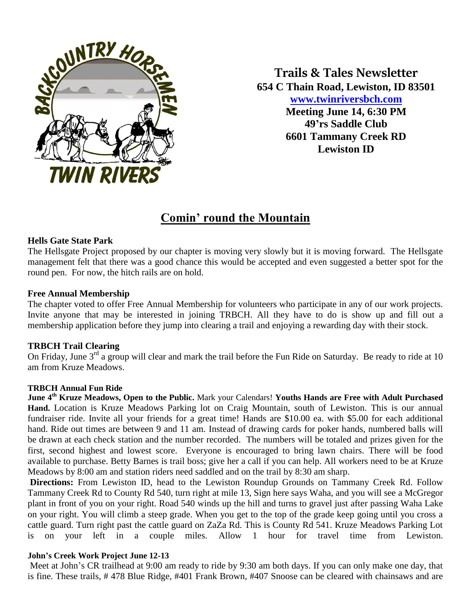

**Trails & Tales Newsletter 654 C Thain Road, Lewiston, ID 83501 [www.twinriversbch.com](http://www.twinriversbch.com/) Meeting June 14, 6:30 PM 49'rs Saddle Club 6601 Tammany Creek RD Lewiston ID**

# **Comin' round the Mountain**

## **Hells Gate State Park**

The Hellsgate Project proposed by our chapter is moving very slowly but it is moving forward. The Hellsgate management felt that there was a good chance this would be accepted and even suggested a better spot for the round pen. For now, the hitch rails are on hold.

### **Free Annual Membership**

The chapter voted to offer Free Annual Membership for volunteers who participate in any of our work projects. Invite anyone that may be interested in joining TRBCH. All they have to do is show up and fill out a membership application before they jump into clearing a trail and enjoying a rewarding day with their stock.

### **TRBCH Trail Clearing**

On Friday, June  $3<sup>rd</sup>$  a group will clear and mark the trail before the Fun Ride on Saturday. Be ready to ride at 10 am from Kruze Meadows.

### **TRBCH Annual Fun Ride**

**June 4th Kruze Meadows, Open to the Public.** Mark your Calendars! **Youths Hands are Free with Adult Purchased Hand.** Location is Kruze Meadows Parking lot on Craig Mountain, south of Lewiston. This is our annual fundraiser ride. Invite all your friends for a great time! Hands are \$10.00 ea. with \$5.00 for each additional hand. Ride out times are between 9 and 11 am. Instead of drawing cards for poker hands, numbered balls will be drawn at each check station and the number recorded. The numbers will be totaled and prizes given for the first, second highest and lowest score. Everyone is encouraged to bring lawn chairs. There will be food available to purchase. Betty Barnes is trail boss; give her a call if you can help. All workers need to be at Kruze Meadows by 8:00 am and station riders need saddled and on the trail by 8:30 am sharp.

**Directions:** From Lewiston ID, head to the Lewiston Roundup Grounds on Tammany Creek Rd. Follow Tammany Creek Rd to County Rd 540, turn right at mile 13, Sign here says Waha, and you will see a McGregor plant in front of you on your right. Road 540 winds up the hill and turns to gravel just after passing Waha Lake on your right. You will climb a steep grade. When you get to the top of the grade keep going until you cross a cattle guard. Turn right past the cattle guard on ZaZa Rd. This is County Rd 541. Kruze Meadows Parking Lot is on your left in a couple miles. Allow 1 hour for travel time from Lewiston.

#### **John's Creek Work Project June 12-13**

Meet at John's CR trailhead at 9:00 am ready to ride by 9:30 am both days. If you can only make one day, that is fine. These trails, # 478 Blue Ridge, #401 Frank Brown, #407 Snoose can be cleared with chainsaws and are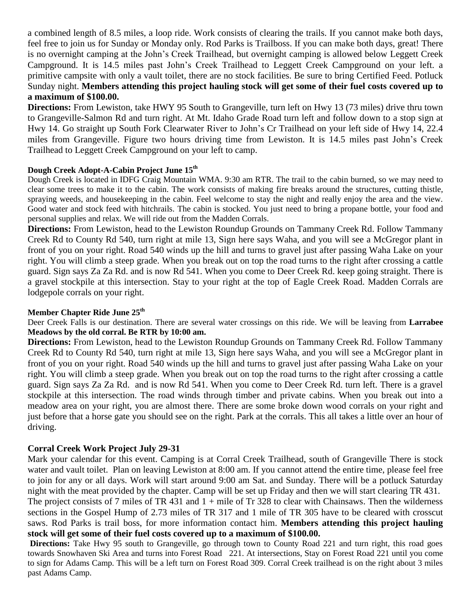a combined length of 8.5 miles, a loop ride. Work consists of clearing the trails. If you cannot make both days, feel free to join us for Sunday or Monday only. Rod Parks is Trailboss. If you can make both days, great! There is no overnight camping at the John's Creek Trailhead, but overnight camping is allowed below Leggett Creek Campground. It is 14.5 miles past John's Creek Trailhead to Leggett Creek Campground on your left. a primitive campsite with only a vault toilet, there are no stock facilities. Be sure to bring Certified Feed. Potluck Sunday night. **Members attending this project hauling stock will get some of their fuel costs covered up to a maximum of \$100.00.**

**Directions:** From Lewiston, take HWY 95 South to Grangeville, turn left on Hwy 13 (73 miles) drive thru town to Grangeville-Salmon Rd and turn right. At Mt. Idaho Grade Road turn left and follow down to a stop sign at Hwy 14. Go straight up South Fork Clearwater River to John's Cr Trailhead on your left side of Hwy 14, 22.4 miles from Grangeville. Figure two hours driving time from Lewiston. It is 14.5 miles past John's Creek Trailhead to Leggett Creek Campground on your left to camp.

### **Dough Creek Adopt-A-Cabin Project June 15th**

Dough Creek is located in IDFG Craig Mountain WMA. 9:30 am RTR. The trail to the cabin burned, so we may need to clear some trees to make it to the cabin. The work consists of making fire breaks around the structures, cutting thistle, spraying weeds, and housekeeping in the cabin. Feel welcome to stay the night and really enjoy the area and the view. Good water and stock feed with hitchrails. The cabin is stocked. You just need to bring a propane bottle, your food and personal supplies and relax. We will ride out from the Madden Corrals.

**Directions:** From Lewiston, head to the Lewiston Roundup Grounds on Tammany Creek Rd. Follow Tammany Creek Rd to County Rd 540, turn right at mile 13, Sign here says Waha, and you will see a McGregor plant in front of you on your right. Road 540 winds up the hill and turns to gravel just after passing Waha Lake on your right. You will climb a steep grade. When you break out on top the road turns to the right after crossing a cattle guard. Sign says Za Za Rd. and is now Rd 541. When you come to Deer Creek Rd. keep going straight. There is a gravel stockpile at this intersection. Stay to your right at the top of Eagle Creek Road. Madden Corrals are lodgepole corrals on your right.

### **Member Chapter Ride June 25th**

Deer Creek Falls is our destination. There are several water crossings on this ride. We will be leaving from **Larrabee Meadows by the old corral. Be RTR by 10:00 am.**

**Directions:** From Lewiston, head to the Lewiston Roundup Grounds on Tammany Creek Rd. Follow Tammany Creek Rd to County Rd 540, turn right at mile 13, Sign here says Waha, and you will see a McGregor plant in front of you on your right. Road 540 winds up the hill and turns to gravel just after passing Waha Lake on your right. You will climb a steep grade. When you break out on top the road turns to the right after crossing a cattle guard. Sign says Za Za Rd. and is now Rd 541. When you come to Deer Creek Rd. turn left. There is a gravel stockpile at this intersection. The road winds through timber and private cabins. When you break out into a meadow area on your right, you are almost there. There are some broke down wood corrals on your right and just before that a horse gate you should see on the right. Park at the corrals. This all takes a little over an hour of driving.

### **Corral Creek Work Project July 29-31**

Mark your calendar for this event. Camping is at Corral Creek Trailhead, south of Grangeville There is stock water and vault toilet. Plan on leaving Lewiston at 8:00 am. If you cannot attend the entire time, please feel free to join for any or all days. Work will start around 9:00 am Sat. and Sunday. There will be a potluck Saturday night with the meat provided by the chapter. Camp will be set up Friday and then we will start clearing TR 431. The project consists of 7 miles of TR 431 and 1 + mile of Tr 328 to clear with Chainsaws. Then the wilderness sections in the Gospel Hump of 2.73 miles of TR 317 and 1 mile of TR 305 have to be cleared with crosscut saws. Rod Parks is trail boss, for more information contact him. **Members attending this project hauling** 

**stock will get some of their fuel costs covered up to a maximum of \$100.00.**

**Directions:** Take Hwy 95 south to Grangeville, go through town to County Road 221 and turn right, this road goes towards Snowhaven Ski Area and turns into Forest Road 221. At intersections, Stay on Forest Road 221 until you come to sign for Adams Camp. This will be a left turn on Forest Road 309. Corral Creek trailhead is on the right about 3 miles past Adams Camp.